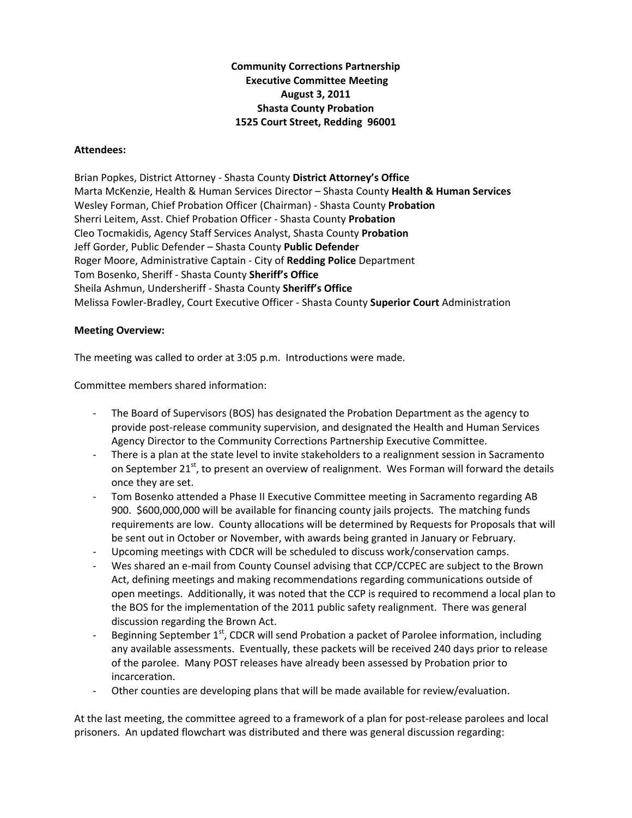## **Community Corrections Partnership Executive Committee Meeting August 3, 2011 Shasta County Probation 1525 Court Street, Redding 96001**

## **Attendees:**

Brian Popkes, District Attorney ‐ Shasta County **District Attorney's Office** Marta McKenzie, Health & Human Services Director – Shasta County **Health & Human Services** Wesley Forman, Chief Probation Officer (Chairman) ‐ Shasta County **Probation** Sherri Leitem, Asst. Chief Probation Officer ‐ Shasta County **Probation** Cleo Tocmakidis, Agency Staff Services Analyst, Shasta County **Probation** Jeff Gorder, Public Defender – Shasta County **Public Defender** Roger Moore, Administrative Captain ‐ City of **Redding Police** Department Tom Bosenko, Sheriff ‐ Shasta County **Sheriff's Office** Sheila Ashmun, Undersheriff ‐ Shasta County **Sheriff's Office** Melissa Fowler‐Bradley, Court Executive Officer ‐ Shasta County **Superior Court** Administration

## **Meeting Overview:**

The meeting was called to order at 3:05 p.m. Introductions were made.

Committee members shared information:

- ‐ The Board of Supervisors (BOS) has designated the Probation Department as the agency to provide post‐release community supervision, and designated the Health and Human Services Agency Director to the Community Corrections Partnership Executive Committee.
- There is a plan at the state level to invite stakeholders to a realignment session in Sacramento on September  $21^{st}$ , to present an overview of realignment. Wes Forman will forward the details once they are set.
- ‐ Tom Bosenko attended a Phase II Executive Committee meeting in Sacramento regarding AB 900. \$600,000,000 will be available for financing county jails projects. The matching funds requirements are low. County allocations will be determined by Requests for Proposals that will be sent out in October or November, with awards being granted in January or February.
- ‐ Upcoming meetings with CDCR will be scheduled to discuss work/conservation camps.
- Wes shared an e-mail from County Counsel advising that CCP/CCPEC are subject to the Brown Act, defining meetings and making recommendations regarding communications outside of open meetings. Additionally, it was noted that the CCP is required to recommend a local plan to the BOS for the implementation of the 2011 public safety realignment. There was general discussion regarding the Brown Act.
- Beginning September  $1^{st}$ , CDCR will send Probation a packet of Parolee information, including any available assessments. Eventually, these packets will be received 240 days prior to release of the parolee. Many POST releases have already been assessed by Probation prior to incarceration.
- Other counties are developing plans that will be made available for review/evaluation.

At the last meeting, the committee agreed to a framework of a plan for post-release parolees and local prisoners. An updated flowchart was distributed and there was general discussion regarding: